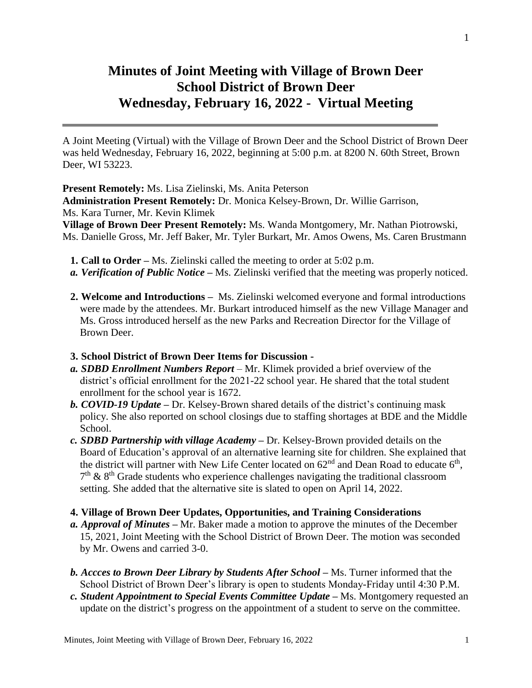## **Minutes of Joint Meeting with Village of Brown Deer School District of Brown Deer Wednesday, February 16, 2022 - Virtual Meeting**

A Joint Meeting (Virtual) with the Village of Brown Deer and the School District of Brown Deer was held Wednesday, February 16, 2022, beginning at 5:00 p.m. at 8200 N. 60th Street, Brown Deer, WI 53223.

**Present Remotely:** Ms. Lisa Zielinski, Ms. Anita Peterson

**Administration Present Remotely:** Dr. Monica Kelsey-Brown, Dr. Willie Garrison, Ms. Kara Turner, Mr. Kevin Klimek

**Village of Brown Deer Present Remotely:** Ms. Wanda Montgomery, Mr. Nathan Piotrowski, Ms. Danielle Gross, Mr. Jeff Baker, Mr. Tyler Burkart, Mr. Amos Owens, Ms. Caren Brustmann

- **1. Call to Order –** Ms. Zielinski called the meeting to order at 5:02 p.m.
- *a. Verification of Public Notice –* Ms. Zielinski verified that the meeting was properly noticed.
- **2. Welcome and Introductions** Ms. Zielinski welcomed everyone and formal introductions were made by the attendees. Mr. Burkart introduced himself as the new Village Manager and Ms. Gross introduced herself as the new Parks and Recreation Director for the Village of Brown Deer.
- **3. School District of Brown Deer Items for Discussion -**
- *a. SDBD Enrollment Numbers Report* Mr. Klimek provided a brief overview of the district's official enrollment for the 2021-22 school year. He shared that the total student enrollment for the school year is 1672.
- *b. COVID-19 Update –* Dr. Kelsey-Brown shared details of the district's continuing mask policy. She also reported on school closings due to staffing shortages at BDE and the Middle School.
- *c. SDBD Partnership with village Academy –* Dr. Kelsey-Brown provided details on the Board of Education's approval of an alternative learning site for children. She explained that the district will partner with New Life Center located on  $62<sup>nd</sup>$  and Dean Road to educate  $6<sup>th</sup>$ ,  $7<sup>th</sup>$  &  $8<sup>th</sup>$  Grade students who experience challenges navigating the traditional classroom setting. She added that the alternative site is slated to open on April 14, 2022.

## **4. Village of Brown Deer Updates, Opportunities, and Training Considerations**

- *a. Approval of Minutes –* Mr. Baker made a motion to approve the minutes of the December 15, 2021, Joint Meeting with the School District of Brown Deer. The motion was seconded by Mr. Owens and carried 3-0.
- *b. Accces to Brown Deer Library by Students After School –* Ms. Turner informed that the School District of Brown Deer's library is open to students Monday-Friday until 4:30 P.M.
- *c. Student Appointment to Special Events Committee Update –* Ms. Montgomery requested an update on the district's progress on the appointment of a student to serve on the committee.